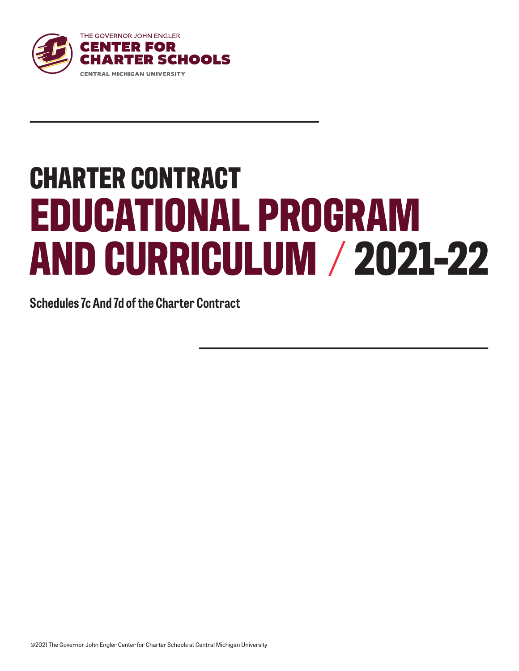

# **CHARTER CONTRACT EDUCATIONAL PROGRAM AND CURRICULUM 2021-22**

**Schedules 7c And 7d of the Charter Contract**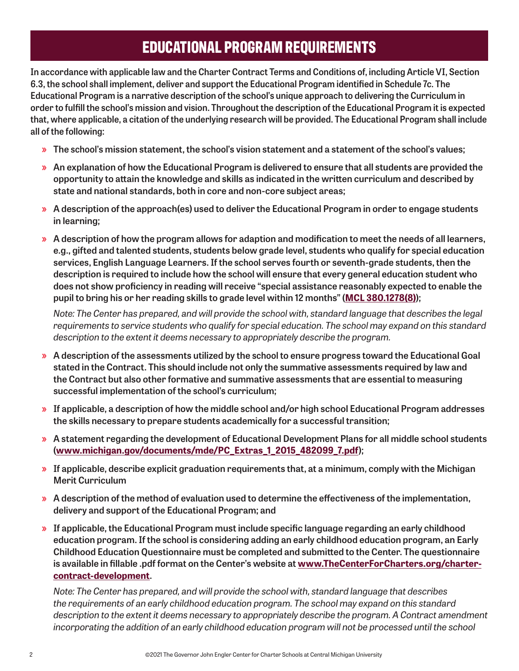# **EDUCATIONAL PROGRAM REQUIREMENTS**

**In accordance with applicable law and the Charter Contract Terms and Conditions of, including Article VI, Section 6.3, the school shall implement, deliver and support the Educational Program identified in Schedule 7c. The Educational Program is a narrative description of the school's unique approach to delivering the Curriculum in order to fulfill the school's mission and vision. Throughout the description of the Educational Program it is expected that, where applicable, a citation of the underlying research will be provided. The Educational Program shall include all of the following:**

- » **The school's mission statement, the school's vision statement and a statement of the school's values;**
- » **An explanation of how the Educational Program is delivered to ensure that all students are provided the opportunity to attain the knowledge and skills as indicated in the written curriculum and described by state and national standards, both in core and non-core subject areas;**
- » **A description of the approach(es) used to deliver the Educational Program in order to engage students in learning;**
- » **A description of how the program allows for adaption and modification to meet the needs of all learners, e.g., gifted and talented students, students below grade level, students who qualify for special education services, English Language Learners. If the school serves fourth or seventh-grade students, then the description is required to include how the school will ensure that every general education student who does not show proficiency in reading will receive "special assistance reasonably expected to enable the pupil to bring his or her reading skills to grade level within 12 months" ([MCL 380.1278\(8\)](http://www.legislature.mi.gov/(S(jtlcsqa44nnocwharkehz5pc))/mileg.aspx?page=getObject&objectname=mcl-380-1278));**

*Note: The Center has prepared, and will provide the school with, standard language that describes the legal requirements to service students who qualify for special education. The school may expand on this standard description to the extent it deems necessary to appropriately describe the program.*

- » **A description of the assessments utilized by the school to ensure progress toward the Educational Goal stated in the Contract. This should include not only the summative assessments required by law and the Contract but also other formative and summative assessments that are essential to measuring successful implementation of the school's curriculum;**
- » **If applicable, a description of how the middle school and/or high school Educational Program addresses the skills necessary to prepare students academically for a successful transition;**
- » **A statement regarding the development of Educational Development Plans for all middle school students ([www.michigan.gov/documents/mde/PC\\_Extras\\_1\\_2015\\_482099\\_7.pdf](http://www.michigan.gov/documents/mde/PC_Extras_1_2015_482099_7.pdf));**
- » **If applicable, describe explicit graduation requirements that, at a minimum, comply with the Michigan Merit Curriculum**
- » **A description of the method of evaluation used to determine the effectiveness of the implementation, delivery and support of the Educational Program; and**
- » **If applicable, the Educational Program must include specific language regarding an early childhood education program. If the school is considering adding an early childhood education program, an Early Childhood Education Questionnaire must be completed and submitted to the Center. The questionnaire is available in fillable .pdf format on the Center's website at [www.TheCenterForCharters.org/charter](http://www.TheCenterForCharters.org/charter-contract-development)[contract-development](http://www.TheCenterForCharters.org/charter-contract-development).**

*Note: The Center has prepared, and will provide the school with, standard language that describes the requirements of an early childhood education program. The school may expand on this standard description to the extent it deems necessary to appropriately describe the program. A Contract amendment incorporating the addition of an early childhood education program will not be processed until the school*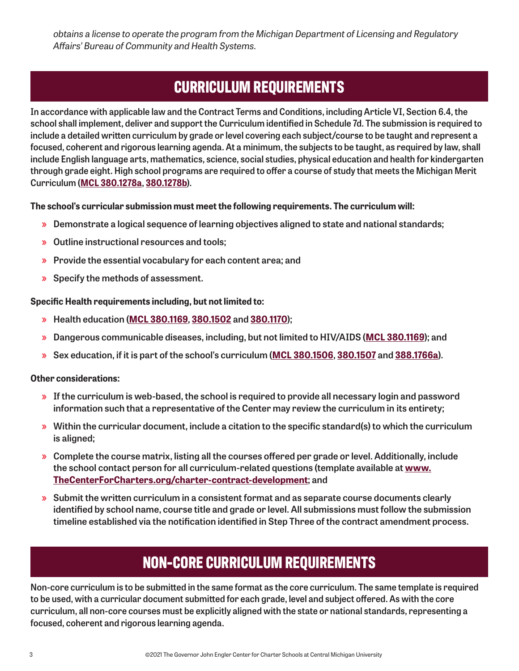*obtains a license to operate the program from the Michigan Department of Licensing and Regulatory Affairs' Bureau of Community and Health Systems.*

# **CURRICULUM REQUIREMENTS**

**In accordance with applicable law and the Contract Terms and Conditions, including Article VI, Section 6.4, the school shall implement, deliver and support the Curriculum identified in Schedule 7d. The submission is required to include a detailed written curriculum by grade or level covering each subject/course to be taught and represent a focused, coherent and rigorous learning agenda. At a minimum, the subjects to be taught, as required by law, shall include English language arts, mathematics, science, social studies, physical education and health for kindergarten through grade eight. High school programs are required to offer a course of study that meets the Michigan Merit Curriculum ([MCL 380.1278a](http://www.legislature.mi.gov/(S(rzf0ndhxpwd1cadsx3gqd41u))/mileg.aspx?page=getObject&objectName=mcl-380-1278a), [380.1278b](http://www.legislature.mi.gov/(S(rzf0ndhxpwd1cadsx3gqd41u))/mileg.aspx?page=getobject&objectname=mcl-380-1278b)).** 

#### **The school's curricular submission must meet the following requirements. The curriculum will:**

- » **Demonstrate a logical sequence of learning objectives aligned to state and national standards;**
- » **Outline instructional resources and tools;**
- » **Provide the essential vocabulary for each content area; and**
- » **Specify the methods of assessment.**

#### **Specific Health requirements including, but not limited to:**

- » **Health education ([MCL 380.1169](http://www.legislature.mi.gov/(S(rzf0ndhxpwd1cadsx3gqd41u))/mileg.aspx?page=getObject&objectName=mcl-380-1169), [380.1502](http://www.legislature.mi.gov/(S(rzf0ndhxpwd1cadsx3gqd41u))/mileg.aspx?page=getObject&objectName=mcl-380-1502) and [380.1170](http://www.legislature.mi.gov/(S(dmnhi031cabmkrdpblvu5da1))/mileg.aspx?page=GetObject&objectname=mcl-380-1170));**
- » **Dangerous communicable diseases, including, but not limited to HIV/AIDS ([MCL 380.1169](http://www.legislature.mi.gov/(S(rzf0ndhxpwd1cadsx3gqd41u))/mileg.aspx?page=getObject&objectName=mcl-380-1169)); and**
- » **Sex education, if it is part of the school's curriculum ([MCL 380.1506](http://www.legislature.mi.gov/(S(q2sf0h0hy2thy2g2bhcscii2))/mileg.aspx?page=GetObject&objectname=mcl-380-1506), [380.1507](http://www.legislature.mi.gov/(S(w0sae5o1neohfvi2pztm0slj))/mileg.aspx?page=GetObject&objectname=mcl-380-1507) and [388.1766a](http://www.legislature.mi.gov/(S(nrq0bmvabv4kuhtinrlqiukd))/mileg.aspx?page=GetObject&objectname=mcl-388-1766a)).**

#### **Other considerations:**

- » **If the curriculum is web-based, the school is required to provide all necessary login and password information such that a representative of the Center may review the curriculum in its entirety;**
- » **Within the curricular document, include a citation to the specific standard(s) to which the curriculum is aligned;**
- » **Complete the course matrix, listing all the courses offered per grade or level. Additionally, include the school contact person for all curriculum-related questions (template available at [www.](www.TheCenterForCharters.org/charter-contract-development) [TheCenterForCharters.org/charter-contract-development](www.TheCenterForCharters.org/charter-contract-development); and**
- » **Submit the written curriculum in a consistent format and as separate course documents clearly identified by school name, course title and grade or level. All submissions must follow the submission timeline established via the notification identified in Step Three of the contract amendment process.**

# **NON-CORE CURRICULUM REQUIREMENTS**

**Non-core curriculum is to be submitted in the same format as the core curriculum. The same template is required to be used, with a curricular document submitted for each grade, level and subject offered. As with the core curriculum, all non-core courses must be explicitly aligned with the state or national standards, representing a focused, coherent and rigorous learning agenda.**